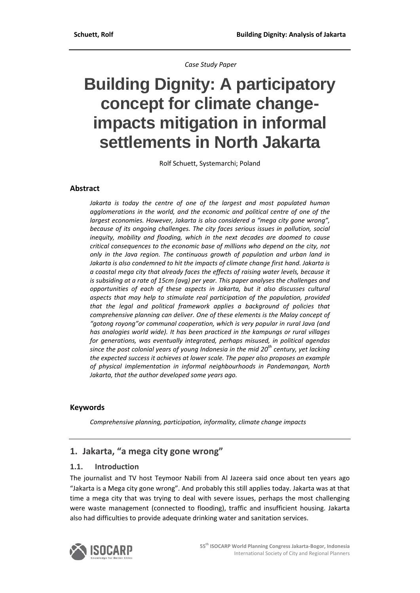*Case Study Paper*

# **Building Dignity: A participatory concept for climate changeimpacts mitigation in informal settlements in North Jakarta**

Rolf Schuett, Systemarchi; Poland

#### **Abstract**

*Jakarta is today the centre of one of the largest and most populated human agglomerations in the world, and the economic and political centre of one of the largest economies. However, Jakarta is also considered a "mega city gone wrong", because of its ongoing challenges. The city faces serious issues in pollution, social inequity, mobility and flooding, which in the next decades are doomed to cause critical consequences to the economic base of millions who depend on the city, not only in the Java region. The continuous growth of population and urban land in Jakarta is also condemned to hit the impacts of climate change first hand. Jakarta is a coastal mega city that already faces the effects of raising water levels, because it is subsiding at a rate of 15cm (avg) per year. This paper analyses the challenges and opportunities of each of these aspects in Jakarta, but it also discusses cultural aspects that may help to stimulate real participation of the population, provided that the legal and political framework applies a background of policies that comprehensive planning can deliver. One of these elements is the Malay concept of "gotong royong"or communal cooperation, which is very popular in rural Java (and has analogies world wide). It has been practiced in the kampungs or rural villages for generations, was eventually integrated, perhaps misused, in political agendas since the post colonial years of young Indonesia in the mid 20th century, yet lacking the expected success it achieves at lower scale. The paper also proposes an example of physical implementation in informal neighbourhoods in Pandemangan, North Jakarta, that the author developed some years ago.*

#### **Keywords**

*Comprehensive planning, participation, informality, climate change impacts*

## **1. Jakarta, "a mega city gone wrong"**

#### **1.1. Introduction**

The journalist and TV host Teymoor Nabili from Al Jazeera said once about ten years ago "Jakarta is a Mega city gone wrong". And probably this still applies today. Jakarta was at that time a mega city that was trying to deal with severe issues, perhaps the most challenging were waste management (connected to flooding), traffic and insufficient housing. Jakarta also had difficulties to provide adequate drinking water and sanitation services.

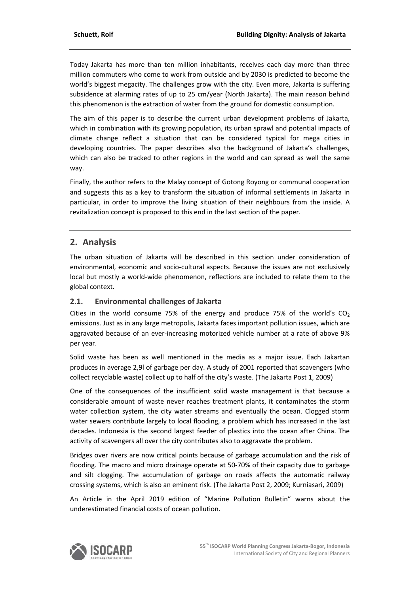Today Jakarta has more than ten million inhabitants, receives each day more than three million commuters who come to work from outside and by 2030 is predicted to become the world's biggest megacity. The challenges grow with the city. Even more, Jakarta is suffering subsidence at alarming rates of up to 25 cm/year (North Jakarta). The main reason behind this phenomenon is the extraction of water from the ground for domestic consumption.

The aim of this paper is to describe the current urban development problems of Jakarta, which in combination with its growing population, its urban sprawl and potential impacts of climate change reflect a situation that can be considered typical for mega cities in developing countries. The paper describes also the background of Jakarta's challenges, which can also be tracked to other regions in the world and can spread as well the same way.

Finally, the author refers to the Malay concept of Gotong Royong or communal cooperation and suggests this as a key to transform the situation of informal settlements in Jakarta in particular, in order to improve the living situation of their neighbours from the inside. A revitalization concept is proposed to this end in the last section of the paper.

# **2. Analysis**

The urban situation of Jakarta will be described in this section under consideration of environmental, economic and socio-cultural aspects. Because the issues are not exclusively local but mostly a world‐wide phenomenon, reflections are included to relate them to the global context.

#### **2.1. Environmental challenges of Jakarta**

Cities in the world consume 75% of the energy and produce 75% of the world's  $CO<sub>2</sub>$ emissions. Just as in any large metropolis, Jakarta faces important pollution issues, which are aggravated because of an ever-increasing motorized vehicle number at a rate of above 9% per year.

Solid waste has been as well mentioned in the media as a major issue. Each Jakartan produces in average 2,9l of garbage per day. A study of 2001 reported that scavengers (who collect recyclable waste) collect up to half of the city's waste. (The Jakarta Post 1, 2009)

One of the consequences of the insufficient solid waste management is that because a considerable amount of waste never reaches treatment plants, it contaminates the storm water collection system, the city water streams and eventually the ocean. Clogged storm water sewers contribute largely to local flooding, a problem which has increased in the last decades. Indonesia is the second largest feeder of plastics into the ocean after China. The activity of scavengers all over the city contributes also to aggravate the problem.

Bridges over rivers are now critical points because of garbage accumulation and the risk of flooding. The macro and micro drainage operate at 50-70% of their capacity due to garbage and silt clogging. The accumulation of garbage on roads affects the automatic railway crossing systems, which is also an eminent risk. (The Jakarta Post 2, 2009; Kurniasari, 2009)

An Article in the April 2019 edition of "Marine Pollution Bulletin" warns about the underestimated financial costs of ocean pollution.

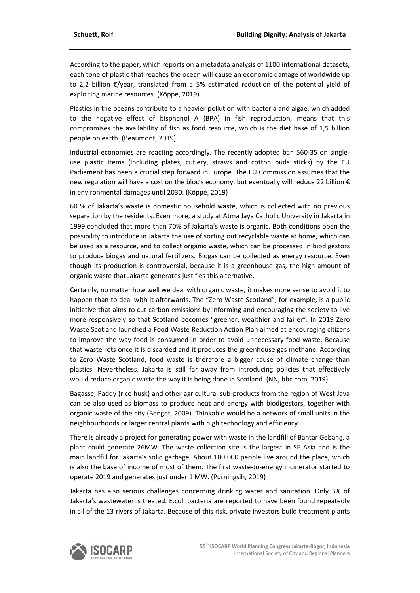According to the paper, which reports on a metadata analysis of 1100 international datasets, each tone of plastic that reaches the ocean will cause an economic damage of worldwide up to 2,2 billion €/year, translated from a 5% estimated reduction of the potential yield of exploiting marine resources. (Köppe, 2019)

Plastics in the oceans contribute to a heavier pollution with bacteria and algae, which added to the negative effect of bisphenol A (BPA) in fish reproduction, means that this compromises the availability of fish as food resource, which is the diet base of 1,5 billion people on earth. (Beaumont, 2019)

Industrial economies are reacting accordingly. The recently adopted ban 560‐35 on single‐ use plastic items (including plates, cutlery, straws and cotton buds sticks) by the EU Parliament has been a crucial step forward in Europe. The EU Commission assumes that the new regulation will have a cost on the bloc's economy, but eventually will reduce 22 billion € in environmental damages until 2030. (Köppe, 2019)

60 % of Jakarta's waste is domestic household waste, which is collected with no previous separation by the residents. Even more, a study at Atma Jaya Catholic University in Jakarta in 1999 concluded that more than 70% of Jakarta's waste is organic. Both conditions open the possibility to introduce in Jakarta the use of sorting out recyclable waste at home, which can be used as a resource, and to collect organic waste, which can be processed in biodigestors to produce biogas and natural fertilizers. Biogas can be collected as energy resource. Even though its production is controversial, because it is a greenhouse gas, the high amount of organic waste that Jakarta generates justifies this alternative.

Certainly, no matter how well we deal with organic waste, it makes more sense to avoid it to happen than to deal with it afterwards. The "Zero Waste Scotland", for example, is a public initiative that aims to cut carbon emissions by informing and encouraging the society to live more responsively so that Scotland becomes "greener, wealthier and fairer". In 2019 Zero Waste Scotland launched a Food Waste Reduction Action Plan aimed at encouraging citizens to improve the way food is consumed in order to avoid unnecessary food waste. Because that waste rots once it is discarded and it produces the greenhouse gas methane. According to Zero Waste Scotland, food waste is therefore a bigger cause of climate change than plastics. Nevertheless, Jakarta is still far away from introducing policies that effectively would reduce organic waste the way it is being done in Scotland. (NN, bbc.com, 2019)

Bagasse, Paddy (rice husk) and other agricultural sub‐products from the region of West Java can be also used as biomass to produce heat and energy with biodigestors, together with organic waste of the city (Benget, 2009). Thinkable would be a network of small units in the neighbourhoods or larger central plants with high technology and efficiency.

There is already a project for generating power with waste in the landfill of Bantar Gebang, a plant could generate 26MW. The waste collection site is the largest in SE Asia and is the main landfill for Jakarta's solid garbage. About 100 000 people live around the place, which is also the base of income of most of them. The first waste-to-energy incinerator started to operate 2019 and generates just under 1 MW. (Purningsih, 2019)

Jakarta has also serious challenges concerning drinking water and sanitation. Only 3% of Jakarta's wastewater is treated. E.coli bacteria are reported to have been found repeatedly in all of the 13 rivers of Jakarta. Because of this risk, private investors build treatment plants

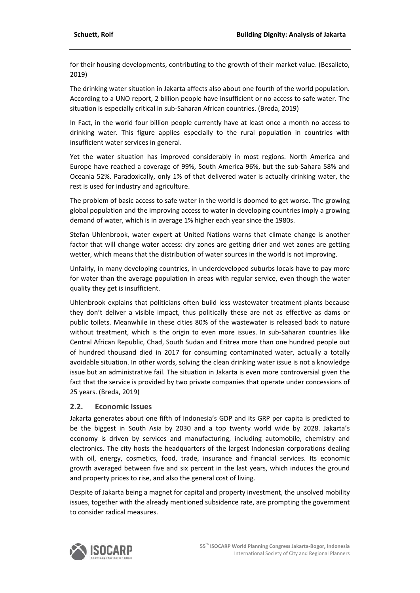for their housing developments, contributing to the growth of their market value. (Besalicto, 2019)

The drinking water situation in Jakarta affects also about one fourth of the world population. According to a UNO report, 2 billion people have insufficient or no access to safe water. The situation is especially critical in sub‐Saharan African countries. (Breda, 2019)

In Fact, in the world four billion people currently have at least once a month no access to drinking water. This figure applies especially to the rural population in countries with insufficient water services in general.

Yet the water situation has improved considerably in most regions. North America and Europe have reached a coverage of 99%, South America 96%, but the sub‐Sahara 58% and Oceania 52%. Paradoxically, only 1% of that delivered water is actually drinking water, the rest is used for industry and agriculture.

The problem of basic access to safe water in the world is doomed to get worse. The growing global population and the improving access to water in developing countries imply a growing demand of water, which is in average 1% higher each year since the 1980s.

Stefan Uhlenbrook, water expert at United Nations warns that climate change is another factor that will change water access: dry zones are getting drier and wet zones are getting wetter, which means that the distribution of water sources in the world is not improving.

Unfairly, in many developing countries, in underdeveloped suburbs locals have to pay more for water than the average population in areas with regular service, even though the water quality they get is insufficient.

Uhlenbrook explains that politicians often build less wastewater treatment plants because they don't deliver a visible impact, thus politically these are not as effective as dams or public toilets. Meanwhile in these cities 80% of the wastewater is released back to nature without treatment, which is the origin to even more issues. In sub-Saharan countries like Central African Republic, Chad, South Sudan and Eritrea more than one hundred people out of hundred thousand died in 2017 for consuming contaminated water, actually a totally avoidable situation. In other words, solving the clean drinking water issue is not a knowledge issue but an administrative fail. The situation in Jakarta is even more controversial given the fact that the service is provided by two private companies that operate under concessions of 25 years. (Breda, 2019)

#### **2.2. Economic Issues**

Jakarta generates about one fifth of Indonesia's GDP and its GRP per capita is predicted to be the biggest in South Asia by 2030 and a top twenty world wide by 2028. Jakarta's economy is driven by services and manufacturing, including automobile, chemistry and electronics. The city hosts the headquarters of the largest Indonesian corporations dealing with oil, energy, cosmetics, food, trade, insurance and financial services. Its economic growth averaged between five and six percent in the last years, which induces the ground and property prices to rise, and also the general cost of living.

Despite of Jakarta being a magnet for capital and property investment, the unsolved mobility issues, together with the already mentioned subsidence rate, are prompting the government to consider radical measures.

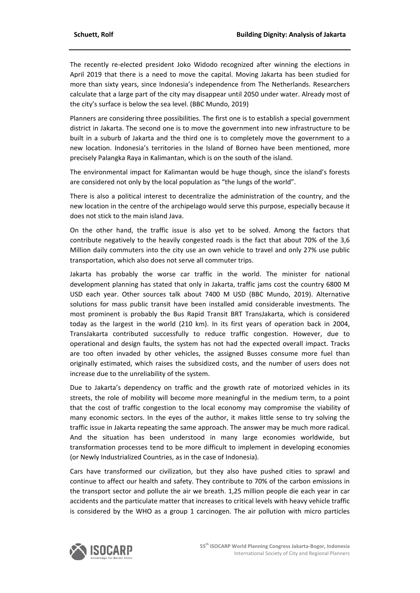The recently re‐elected president Joko Widodo recognized after winning the elections in April 2019 that there is a need to move the capital. Moving Jakarta has been studied for more than sixty years, since Indonesia's independence from The Netherlands. Researchers calculate that a large part of the city may disappear until 2050 under water. Already most of the city's surface is below the sea level. (BBC Mundo, 2019)

Planners are considering three possibilities. The first one is to establish a special government district in Jakarta. The second one is to move the government into new infrastructure to be built in a suburb of Jakarta and the third one is to completely move the government to a new location. Indonesia's territories in the Island of Borneo have been mentioned, more precisely Palangka Raya in Kalimantan, which is on the south of the island.

The environmental impact for Kalimantan would be huge though, since the island's forests are considered not only by the local population as "the lungs of the world".

There is also a political interest to decentralize the administration of the country, and the new location in the centre of the archipelago would serve this purpose, especially because it does not stick to the main island Java.

On the other hand, the traffic issue is also yet to be solved. Among the factors that contribute negatively to the heavily congested roads is the fact that about 70% of the 3,6 Million daily commuters into the city use an own vehicle to travel and only 27% use public transportation, which also does not serve all commuter trips.

Jakarta has probably the worse car traffic in the world. The minister for national development planning has stated that only in Jakarta, traffic jams cost the country 6800 M USD each year. Other sources talk about 7400 M USD (BBC Mundo, 2019). Alternative solutions for mass public transit have been installed amid considerable investments. The most prominent is probably the Bus Rapid Transit BRT TransJakarta, which is considered today as the largest in the world (210 km). In its first years of operation back in 2004, TransJakarta contributed successfully to reduce traffic congestion. However, due to operational and design faults, the system has not had the expected overall impact. Tracks are too often invaded by other vehicles, the assigned Busses consume more fuel than originally estimated, which raises the subsidized costs, and the number of users does not increase due to the unreliability of the system.

Due to Jakarta's dependency on traffic and the growth rate of motorized vehicles in its streets, the role of mobility will become more meaningful in the medium term, to a point that the cost of traffic congestion to the local economy may compromise the viability of many economic sectors. In the eyes of the author, it makes little sense to try solving the traffic issue in Jakarta repeating the same approach. The answer may be much more radical. And the situation has been understood in many large economies worldwide, but transformation processes tend to be more difficult to implement in developing economies (or Newly Industrialized Countries, as in the case of Indonesia).

Cars have transformed our civilization, but they also have pushed cities to sprawl and continue to affect our health and safety. They contribute to 70% of the carbon emissions in the transport sector and pollute the air we breath. 1,25 million people die each year in car accidents and the particulate matter that increases to critical levels with heavy vehicle traffic is considered by the WHO as a group 1 carcinogen. The air pollution with micro particles

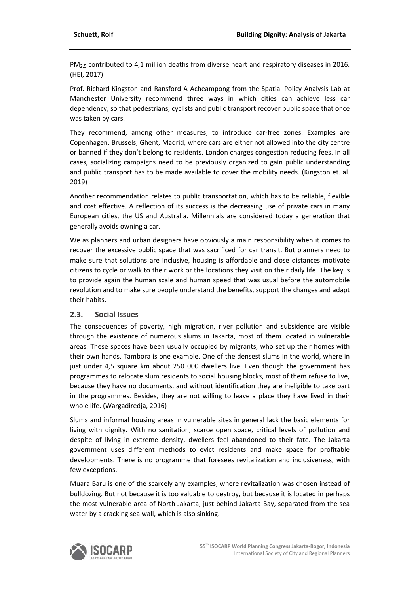PM<sub>2.5</sub> contributed to 4,1 million deaths from diverse heart and respiratory diseases in 2016. (HEI, 2017)

Prof. Richard Kingston and Ransford A Acheampong from the Spatial Policy Analysis Lab at Manchester University recommend three ways in which cities can achieve less car dependency, so that pedestrians, cyclists and public transport recover public space that once was taken by cars.

They recommend, among other measures, to introduce car-free zones. Examples are Copenhagen, Brussels, Ghent, Madrid, where cars are either not allowed into the city centre or banned if they don't belong to residents. London charges congestion reducing fees. In all cases, socializing campaigns need to be previously organized to gain public understanding and public transport has to be made available to cover the mobility needs. (Kingston et. al. 2019)

Another recommendation relates to public transportation, which has to be reliable, flexible and cost effective. A reflection of its success is the decreasing use of private cars in many European cities, the US and Australia. Millennials are considered today a generation that generally avoids owning a car.

We as planners and urban designers have obviously a main responsibility when it comes to recover the excessive public space that was sacrificed for car transit. But planners need to make sure that solutions are inclusive, housing is affordable and close distances motivate citizens to cycle or walk to their work or the locations they visit on their daily life. The key is to provide again the human scale and human speed that was usual before the automobile revolution and to make sure people understand the benefits, support the changes and adapt their habits.

#### **2.3. Social Issues**

The consequences of poverty, high migration, river pollution and subsidence are visible through the existence of numerous slums in Jakarta, most of them located in vulnerable areas. These spaces have been usually occupied by migrants, who set up their homes with their own hands. Tambora is one example. One of the densest slums in the world, where in just under 4,5 square km about 250 000 dwellers live. Even though the government has programmes to relocate slum residents to social housing blocks, most of them refuse to live, because they have no documents, and without identification they are ineligible to take part in the programmes. Besides, they are not willing to leave a place they have lived in their whole life. (Wargadiredja, 2016)

Slums and informal housing areas in vulnerable sites in general lack the basic elements for living with dignity. With no sanitation, scarce open space, critical levels of pollution and despite of living in extreme density, dwellers feel abandoned to their fate. The Jakarta government uses different methods to evict residents and make space for profitable developments. There is no programme that foresees revitalization and inclusiveness, with few exceptions.

Muara Baru is one of the scarcely any examples, where revitalization was chosen instead of bulldozing. But not because it is too valuable to destroy, but because it is located in perhaps the most vulnerable area of North Jakarta, just behind Jakarta Bay, separated from the sea water by a cracking sea wall, which is also sinking.

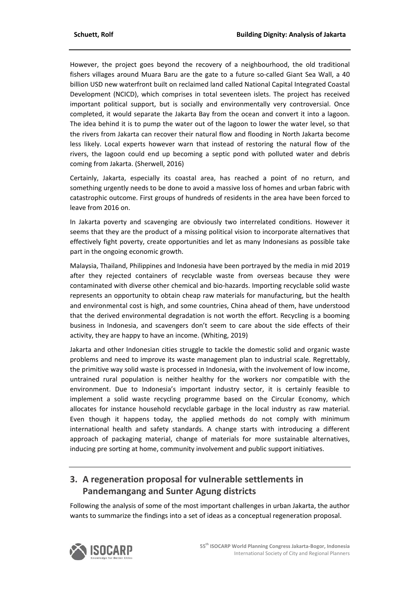However, the project goes beyond the recovery of a neighbourhood, the old traditional fishers villages around Muara Baru are the gate to a future so-called Giant Sea Wall, a 40 billion USD new waterfront built on reclaimed land called National Capital Integrated Coastal Development (NCICD), which comprises in total seventeen islets. The project has received important political support, but is socially and environmentally very controversial. Once completed, it would separate the Jakarta Bay from the ocean and convert it into a lagoon. The idea behind it is to pump the water out of the lagoon to lower the water level, so that the rivers from Jakarta can recover their natural flow and flooding in North Jakarta become less likely. Local experts however warn that instead of restoring the natural flow of the rivers, the lagoon could end up becoming a septic pond with polluted water and debris coming from Jakarta. (Sherwell, 2016)

Certainly, Jakarta, especially its coastal area, has reached a point of no return, and something urgently needs to be done to avoid a massive loss of homes and urban fabric with catastrophic outcome. First groups of hundreds of residents in the area have been forced to leave from 2016 on.

In Jakarta poverty and scavenging are obviously two interrelated conditions. However it seems that they are the product of a missing political vision to incorporate alternatives that effectively fight poverty, create opportunities and let as many Indonesians as possible take part in the ongoing economic growth.

Malaysia, Thailand, Philippines and Indonesia have been portrayed by the media in mid 2019 after they rejected containers of recyclable waste from overseas because they were contaminated with diverse other chemical and bio‐hazards. Importing recyclable solid waste represents an opportunity to obtain cheap raw materials for manufacturing, but the health and environmental cost is high, and some countries, China ahead of them, have understood that the derived environmental degradation is not worth the effort. Recycling is a booming business in Indonesia, and scavengers don't seem to care about the side effects of their activity, they are happy to have an income. (Whiting, 2019)

Jakarta and other Indonesian cities struggle to tackle the domestic solid and organic waste problems and need to improve its waste management plan to industrial scale. Regrettably, the primitive way solid waste is processed in Indonesia, with the involvement of low income, untrained rural population is neither healthy for the workers nor compatible with the environment. Due to Indonesia's important industry sector, it is certainly feasible to implement a solid waste recycling programme based on the Circular Economy, which allocates for instance household recyclable garbage in the local industry as raw material. Even though it happens today, the applied methods do not comply with minimum international health and safety standards. A change starts with introducing a different approach of packaging material, change of materials for more sustainable alternatives, inducing pre sorting at home, community involvement and public support initiatives.

# **3. A regeneration proposal for vulnerable settlements in Pandemangang and Sunter Agung districts**

Following the analysis of some of the most important challenges in urban Jakarta, the author wants to summarize the findings into a set of ideas as a conceptual regeneration proposal.

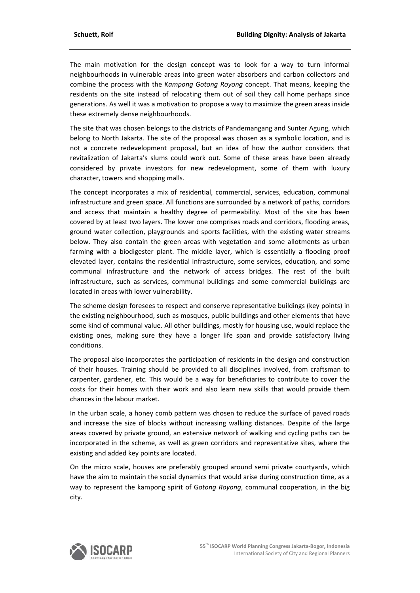The main motivation for the design concept was to look for a way to turn informal neighbourhoods in vulnerable areas into green water absorbers and carbon collectors and combine the process with the *Kampong Gotong Royong* concept. That means, keeping the residents on the site instead of relocating them out of soil they call home perhaps since generations. As well it was a motivation to propose a way to maximize the green areas inside these extremely dense neighbourhoods.

The site that was chosen belongs to the districts of Pandemangang and Sunter Agung, which belong to North Jakarta. The site of the proposal was chosen as a symbolic location, and is not a concrete redevelopment proposal, but an idea of how the author considers that revitalization of Jakarta's slums could work out. Some of these areas have been already considered by private investors for new redevelopment, some of them with luxury character, towers and shopping malls.

The concept incorporates a mix of residential, commercial, services, education, communal infrastructure and green space. All functions are surrounded by a network of paths, corridors and access that maintain a healthy degree of permeability. Most of the site has been covered by at least two layers. The lower one comprises roads and corridors, flooding areas, ground water collection, playgrounds and sports facilities, with the existing water streams below. They also contain the green areas with vegetation and some allotments as urban farming with a biodigester plant. The middle layer, which is essentially a flooding proof elevated layer, contains the residential infrastructure, some services, education, and some communal infrastructure and the network of access bridges. The rest of the built infrastructure, such as services, communal buildings and some commercial buildings are located in areas with lower vulnerability.

The scheme design foresees to respect and conserve representative buildings (key points) in the existing neighbourhood, such as mosques, public buildings and other elements that have some kind of communal value. All other buildings, mostly for housing use, would replace the existing ones, making sure they have a longer life span and provide satisfactory living conditions.

The proposal also incorporates the participation of residents in the design and construction of their houses. Training should be provided to all disciplines involved, from craftsman to carpenter, gardener, etc. This would be a way for beneficiaries to contribute to cover the costs for their homes with their work and also learn new skills that would provide them chances in the labour market.

In the urban scale, a honey comb pattern was chosen to reduce the surface of paved roads and increase the size of blocks without increasing walking distances. Despite of the large areas covered by private ground, an extensive network of walking and cycling paths can be incorporated in the scheme, as well as green corridors and representative sites, where the existing and added key points are located.

On the micro scale, houses are preferably grouped around semi private courtyards, which have the aim to maintain the social dynamics that would arise during construction time, as a way to represent the kampong spirit of G*otong Royong*, communal cooperation, in the big city.

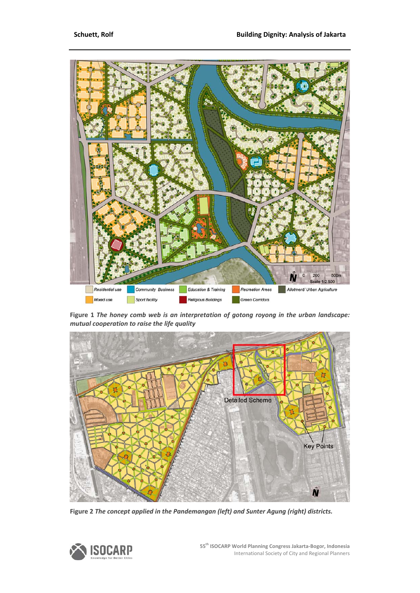

**Figure 1** *The honey comb web is an interpretation of gotong royong in the urban landscape: mutual cooperation to raise the life quality*



**Figure 2** *The concept applied in the Pandemangan (left) and Sunter Agung (right) districts.*

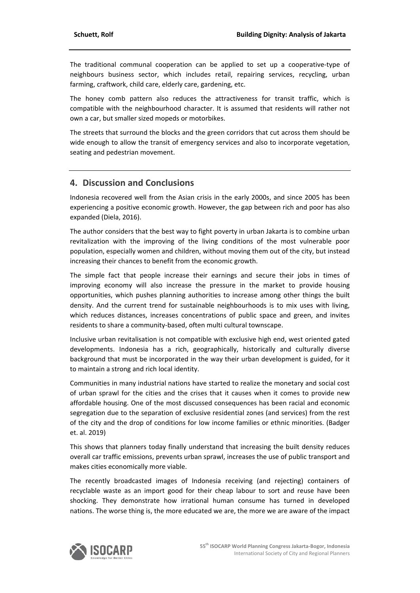The traditional communal cooperation can be applied to set up a cooperative‐type of neighbours business sector, which includes retail, repairing services, recycling, urban farming, craftwork, child care, elderly care, gardening, etc.

The honey comb pattern also reduces the attractiveness for transit traffic, which is compatible with the neighbourhood character. It is assumed that residents will rather not own a car, but smaller sized mopeds or motorbikes.

The streets that surround the blocks and the green corridors that cut across them should be wide enough to allow the transit of emergency services and also to incorporate vegetation, seating and pedestrian movement.

# **4. Discussion and Conclusions**

Indonesia recovered well from the Asian crisis in the early 2000s, and since 2005 has been experiencing a positive economic growth. However, the gap between rich and poor has also expanded (Diela, 2016).

The author considers that the best way to fight poverty in urban Jakarta is to combine urban revitalization with the improving of the living conditions of the most vulnerable poor population, especially women and children, without moving them out of the city, but instead increasing their chances to benefit from the economic growth.

The simple fact that people increase their earnings and secure their jobs in times of improving economy will also increase the pressure in the market to provide housing opportunities, which pushes planning authorities to increase among other things the built density. And the current trend for sustainable neighbourhoods is to mix uses with living, which reduces distances, increases concentrations of public space and green, and invites residents to share a community‐based, often multi cultural townscape.

Inclusive urban revitalisation is not compatible with exclusive high end, west oriented gated developments. Indonesia has a rich, geographically, historically and culturally diverse background that must be incorporated in the way their urban development is guided, for it to maintain a strong and rich local identity.

Communities in many industrial nations have started to realize the monetary and social cost of urban sprawl for the cities and the crises that it causes when it comes to provide new affordable housing. One of the most discussed consequences has been racial and economic segregation due to the separation of exclusive residential zones (and services) from the rest of the city and the drop of conditions for low income families or ethnic minorities. (Badger et. al. 2019)

This shows that planners today finally understand that increasing the built density reduces overall car traffic emissions, prevents urban sprawl, increases the use of public transport and makes cities economically more viable.

The recently broadcasted images of Indonesia receiving (and rejecting) containers of recyclable waste as an import good for their cheap labour to sort and reuse have been shocking. They demonstrate how irrational human consume has turned in developed nations. The worse thing is, the more educated we are, the more we are aware of the impact

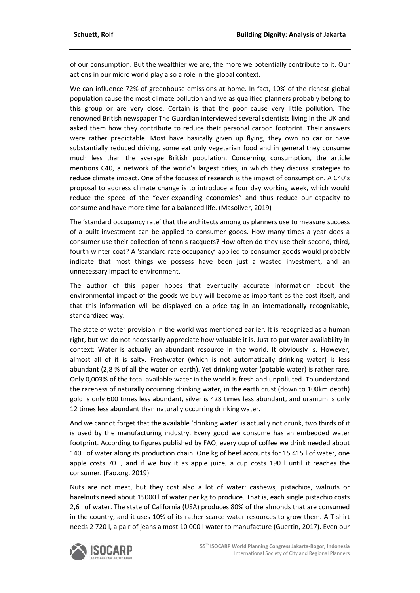of our consumption. But the wealthier we are, the more we potentially contribute to it. Our actions in our micro world play also a role in the global context.

We can influence 72% of greenhouse emissions at home. In fact, 10% of the richest global population cause the most climate pollution and we as qualified planners probably belong to this group or are very close. Certain is that the poor cause very little pollution. The renowned British newspaper The Guardian interviewed several scientists living in the UK and asked them how they contribute to reduce their personal carbon footprint. Their answers were rather predictable. Most have basically given up flying, they own no car or have substantially reduced driving, some eat only vegetarian food and in general they consume much less than the average British population. Concerning consumption, the article mentions C40, a network of the world's largest cities, in which they discuss strategies to reduce climate impact. One of the focuses of research is the impact of consumption. A C40's proposal to address climate change is to introduce a four day working week, which would reduce the speed of the "ever‐expanding economies" and thus reduce our capacity to consume and have more time for a balanced life. (Masoliver, 2019)

The 'standard occupancy rate' that the architects among us planners use to measure success of a built investment can be applied to consumer goods. How many times a year does a consumer use their collection of tennis racquets? How often do they use their second, third, fourth winter coat? A 'standard rate occupancy' applied to consumer goods would probably indicate that most things we possess have been just a wasted investment, and an unnecessary impact to environment.

The author of this paper hopes that eventually accurate information about the environmental impact of the goods we buy will become as important as the cost itself, and that this information will be displayed on a price tag in an internationally recognizable, standardized way.

The state of water provision in the world was mentioned earlier. It is recognized as a human right, but we do not necessarily appreciate how valuable it is. Just to put water availability in context: Water is actually an abundant resource in the world. It obviously is. However, almost all of it is salty. Freshwater (which is not automatically drinking water) is less abundant (2,8 % of all the water on earth). Yet drinking water (potable water) is rather rare. Only 0,003% of the total available water in the world is fresh and unpolluted. To understand the rareness of naturally occurring drinking water, in the earth crust (down to 100km depth) gold is only 600 times less abundant, silver is 428 times less abundant, and uranium is only 12 times less abundant than naturally occurring drinking water.

And we cannot forget that the available 'drinking water' is actually not drunk, two thirds of it is used by the manufacturing industry. Every good we consume has an embedded water footprint. According to figures published by FAO, every cup of coffee we drink needed about 140 l of water along its production chain. One kg of beef accounts for 15 415 l of water, one apple costs 70 l, and if we buy it as apple juice, a cup costs 190 l until it reaches the consumer. (Fao.org, 2019)

Nuts are not meat, but they cost also a lot of water: cashews, pistachios, walnuts or hazelnuts need about 15000 l of water per kg to produce. That is, each single pistachio costs 2,6 l of water. The state of California (USA) produces 80% of the almonds that are consumed in the country, and it uses 10% of its rather scarce water resources to grow them. A T‐shirt needs 2 720 l, a pair of jeans almost 10 000 l water to manufacture (Guertin, 2017). Even our

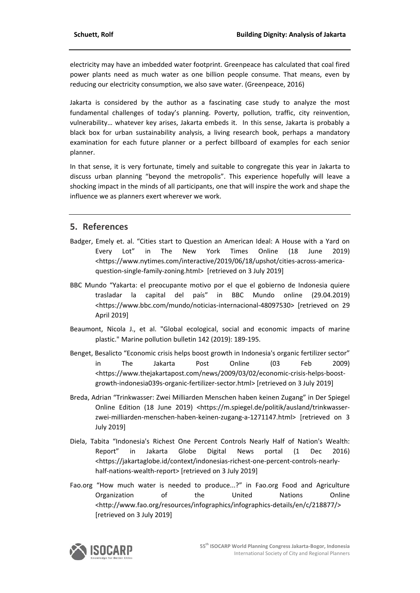electricity may have an imbedded water footprint. Greenpeace has calculated that coal fired power plants need as much water as one billion people consume. That means, even by reducing our electricity consumption, we also save water. (Greenpeace, 2016)

Jakarta is considered by the author as a fascinating case study to analyze the most fundamental challenges of today's planning. Poverty, pollution, traffic, city reinvention, vulnerability… whatever key arises, Jakarta embeds it. In this sense, Jakarta is probably a black box for urban sustainability analysis, a living research book, perhaps a mandatory examination for each future planner or a perfect billboard of examples for each senior planner.

In that sense, it is very fortunate, timely and suitable to congregate this year in Jakarta to discuss urban planning "beyond the metropolis". This experience hopefully will leave a shocking impact in the minds of all participants, one that will inspire the work and shape the influence we as planners exert wherever we work.

### **5. References**

- Badger, Emely et. al. "Cities start to Question an American Ideal: A House with a Yard on Every Lot" in The New York Times Online (18 June 2019) <https://www.nytimes.com/interactive/2019/06/18/upshot/cities‐across‐america‐ question-single-family-zoning.html> [retrieved on 3 July 2019]
- BBC Mundo "Yakarta: el preocupante motivo por el que el gobierno de Indonesia quiere trasladar la capital del país" in BBC Mundo online (29.04.2019) <https://www.bbc.com/mundo/noticias‐internacional‐48097530> [retrieved on 29 April 2019]
- Beaumont, Nicola J., et al. "Global ecological, social and economic impacts of marine plastic." Marine pollution bulletin 142 (2019): 189‐195.
- Benget, Besalicto "Economic crisis helps boost growth in Indonesia's organic fertilizer sector" in The Jakarta Post Online (03 Feb 2009) <https://www.thejakartapost.com/news/2009/03/02/economic‐crisis‐helps‐boost‐ growth‐indonesia039s‐organic‐fertilizer‐sector.html> [retrieved on 3 July 2019]
- Breda, Adrian "Trinkwasser: Zwei Milliarden Menschen haben keinen Zugang" in Der Spiegel Online Edition (18 June 2019) <https://m.spiegel.de/politik/ausland/trinkwasser‐ zwei-milliarden-menschen-haben-keinen-zugang-a-1271147.html> [retrieved on 3 July 2019]
- Diela, Tabita "Indonesia's Richest One Percent Controls Nearly Half of Nation's Wealth: Report" in Jakarta Globe Digital News portal (1 Dec 2016) <https://jakartaglobe.id/context/indonesias‐richest‐one‐percent‐controls‐nearly‐ half-nations-wealth-report> [retrieved on 3 July 2019]
- Fao.org "How much water is needed to produce...?" in Fao.org Food and Agriculture Organization of the United Nations Online <http://www.fao.org/resources/infographics/infographics‐details/en/c/218877/> [retrieved on 3 July 2019]

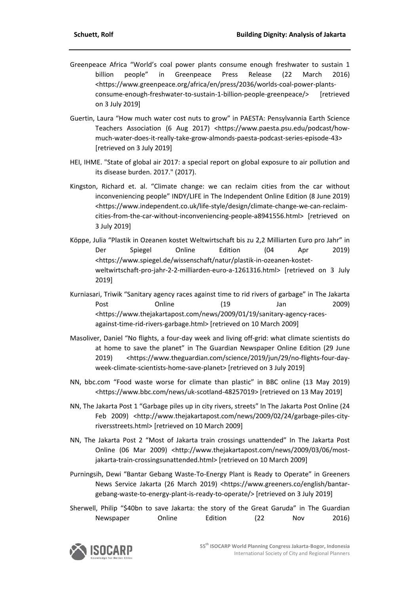- Greenpeace Africa "World's coal power plants consume enough freshwater to sustain 1 billion people" in Greenpeace Press Release (22 March 2016) <https://www.greenpeace.org/africa/en/press/2036/worlds‐coal‐power‐plants‐ consume‐enough‐freshwater‐to‐sustain‐1‐billion‐people‐greenpeace/> [retrieved on 3 July 2019]
- Guertin, Laura "How much water cost nuts to grow" in PAESTA: Pensylvannia Earth Science Teachers Association (6 Aug 2017) <https://www.paesta.psu.edu/podcast/how‐ much‐water‐does‐it‐really‐take‐grow‐almonds‐paesta‐podcast‐series‐episode‐43> [retrieved on 3 July 2019]
- HEI, IHME. "State of global air 2017: a special report on global exposure to air pollution and its disease burden. 2017." (2017).
- Kingston, Richard et. al. "Climate change: we can reclaim cities from the car without inconveniencing people" INDY/LIFE in The Independent Online Edition (8 June 2019) <https://www.independent.co.uk/life‐style/design/climate‐change‐we‐can‐reclaim‐ cities-from-the-car-without-inconveniencing-people-a8941556.html> [retrieved on 3 July 2019]
- Köppe, Julia "Plastik in Ozeanen kostet Weltwirtschaft bis zu 2,2 Milliarten Euro pro Jahr" in Der Spiegel Online Edition (04 Apr 2019) <https://www.spiegel.de/wissenschaft/natur/plastik‐in‐ozeanen‐kostet‐ weltwirtschaft-pro-jahr-2-2-milliarden-euro-a-1261316.html> [retrieved on 3 July 2019]
- Kurniasari, Triwik "Sanitary agency races against time to rid rivers of garbage" in The Jakarta Post **Online** (19 Jan 2009) <https://www.thejakartapost.com/news/2009/01/19/sanitary‐agency‐races‐ against-time-rid-rivers-garbage.html> [retrieved on 10 March 2009]
- Masoliver, Daniel "No flights, a four‐day week and living off‐grid: what climate scientists do at home to save the planet" in The Guardian Newspaper Online Edition (29 June 2019) <https://www.theguardian.com/science/2019/jun/29/no-flights-four-dayweek‐climate‐scientists‐home‐save‐planet> [retrieved on 3 July 2019]
- NN, bbc.com "Food waste worse for climate than plastic" in BBC online (13 May 2019) <https://www.bbc.com/news/uk‐scotland‐48257019> [retrieved on 13 May 2019]
- NN, The Jakarta Post 1 "Garbage piles up in city rivers, streets" In The Jakarta Post Online (24 Feb 2009) <http://www.thejakartapost.com/news/2009/02/24/garbage-piles-cityriversstreets.html> [retrieved on 10 March 2009]
- NN, The Jakarta Post 2 "Most of Jakarta train crossings unattended" In The Jakarta Post Online (06 Mar 2009) <http://www.thejakartapost.com/news/2009/03/06/most‐ jakarta‐train‐crossingsunattended.html> [retrieved on 10 March 2009]
- Purningsih, Dewi "Bantar Gebang Waste‐To‐Energy Plant is Ready to Operate" in Greeners News Service Jakarta (26 March 2019) <https://www.greeners.co/english/bantar‐ gebang‐waste‐to‐energy‐plant‐is‐ready‐to‐operate/> [retrieved on 3 July 2019]
- Sherwell, Philip "\$40bn to save Jakarta: the story of the Great Garuda" in The Guardian Newspaper Online Edition (22 Nov 2016)